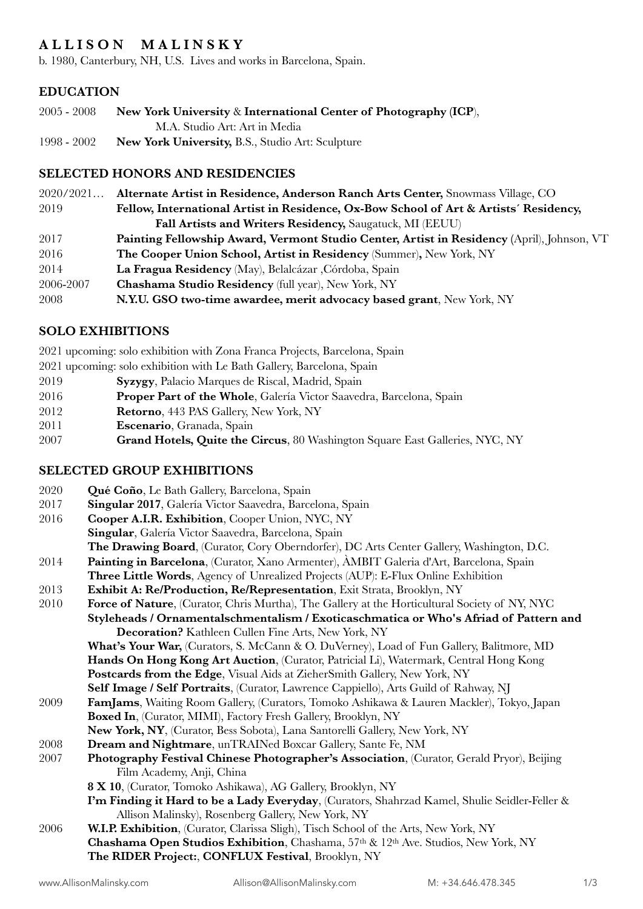# **A L L I S O N M A L I N S K Y**

b. 1980, Canterbury, NH, U.S. Lives and works in Barcelona, Spain.

### **EDUCATION**

| $2005 - 2008$ | New York University & International Center of Photography (ICP), |
|---------------|------------------------------------------------------------------|
|               | M.A. Studio Art: Art in Media                                    |
| 1998 - 2002   | <b>New York University, B.S., Studio Art: Sculpture</b>          |

#### **SELECTED HONORS AND RESIDENCIES**

| 2020/2021 | Alternate Artist in Residence, Anderson Ranch Arts Center, Snowmass Village, CO            |
|-----------|--------------------------------------------------------------------------------------------|
| 2019      | Fellow, International Artist in Residence, Ox-Bow School of Art & Artists' Residency,      |
|           | Fall Artists and Writers Residency, Saugatuck, MI (EEUU)                                   |
| 2017      | Painting Fellowship Award, Vermont Studio Center, Artist in Residency (April), Johnson, VT |
| 2016      | <b>The Cooper Union School, Artist in Residency (Summer), New York, NY</b>                 |
| 2014      | La Fragua Residency (May), Belalcázar, Córdoba, Spain                                      |
| 2006-2007 | Chashama Studio Residency (full year), New York, NY                                        |
| 2008      | N.Y.U. GSO two-time awardee, merit advocacy based grant, New York, NY                      |

## **SOLO EXHIBITIONS**

- 2021 upcoming: solo exhibition with Zona Franca Projects, Barcelona, Spain
- 2021 upcoming: solo exhibition with Le Bath Gallery, Barcelona, Spain
- 2019 **Syzygy**, Palacio Marques de Riscal, Madrid, Spain
- 2016 **Proper Part of the Whole**, Galería Victor Saavedra, Barcelona, Spain
- 2012 **Retorno**, 443 PAS Gallery, New York, NY
- 2011 **Escenario**, Granada, Spain
- 2007 **Grand Hotels, Quite the Circus**, 80 Washington Square East Galleries, NYC, NY

### **SELECTED GROUP EXHIBITIONS**

| 2020 | Qué Coño, Le Bath Gallery, Barcelona, Spain                                                   |
|------|-----------------------------------------------------------------------------------------------|
| 2017 | Singular 2017, Galería Victor Saavedra, Barcelona, Spain                                      |
| 2016 | Cooper A.I.R. Exhibition, Cooper Union, NYC, NY                                               |
|      | Singular, Galería Victor Saavedra, Barcelona, Spain                                           |
|      | The Drawing Board, (Curator, Cory Oberndorfer), DC Arts Center Gallery, Washington, D.C.      |
| 2014 | Painting in Barcelona, (Curator, Xano Armenter), AMBIT Galeria d'Art, Barcelona, Spain        |
|      | Three Little Words, Agency of Unrealized Projects (AUP): E-Flux Online Exhibition             |
| 2013 | Exhibit A: Re/Production, Re/Representation, Exit Strata, Brooklyn, NY                        |
| 2010 | Force of Nature, (Curator, Chris Murtha), The Gallery at the Horticultural Society of NY, NYC |
|      | Styleheads / Ornamentalschmentalism / Exoticaschmatica or Who's Afriad of Pattern and         |
|      | Decoration? Kathleen Cullen Fine Arts, New York, NY                                           |
|      | What's Your War, (Curators, S. McCann & O. DuVerney), Load of Fun Gallery, Balitmore, MD      |
|      | Hands On Hong Kong Art Auction, (Curator, Patricial Li), Watermark, Central Hong Kong         |
|      | Postcards from the Edge, Visual Aids at ZieherSmith Gallery, New York, NY                     |
|      | Self Image / Self Portraits, (Curator, Lawrence Cappiello), Arts Guild of Rahway, NJ          |
| 2009 | FamJams, Waiting Room Gallery, (Curators, Tomoko Ashikawa & Lauren Mackler), Tokyo, Japan     |
|      | Boxed In, (Curator, MIMI), Factory Fresh Gallery, Brooklyn, NY                                |
|      | New York, NY, (Curator, Bess Sobota), Lana Santorelli Gallery, New York, NY                   |
| 2008 | Dream and Nightmare, unTRAINed Boxcar Gallery, Sante Fe, NM                                   |
| 2007 | Photography Festival Chinese Photographer's Association, (Curator, Gerald Pryor), Beijing     |
|      | Film Academy, Anji, China                                                                     |
|      | 8 X 10, (Curator, Tomoko Ashikawa), AG Gallery, Brooklyn, NY                                  |
|      | I'm Finding it Hard to be a Lady Everyday, (Curators, Shahrzad Kamel, Shulie Seidler-Feller & |
|      | Allison Malinsky), Rosenberg Gallery, New York, NY                                            |
| 2006 | W.I.P. Exhibition, (Curator, Clarissa Sligh), Tisch School of the Arts, New York, NY          |
|      | Chashama Open Studios Exhibition, Chashama, 57th & 12th Ave. Studios, New York, NY            |
|      | The RIDER Project:, CONFLUX Festival, Brooklyn, NY                                            |
|      |                                                                                               |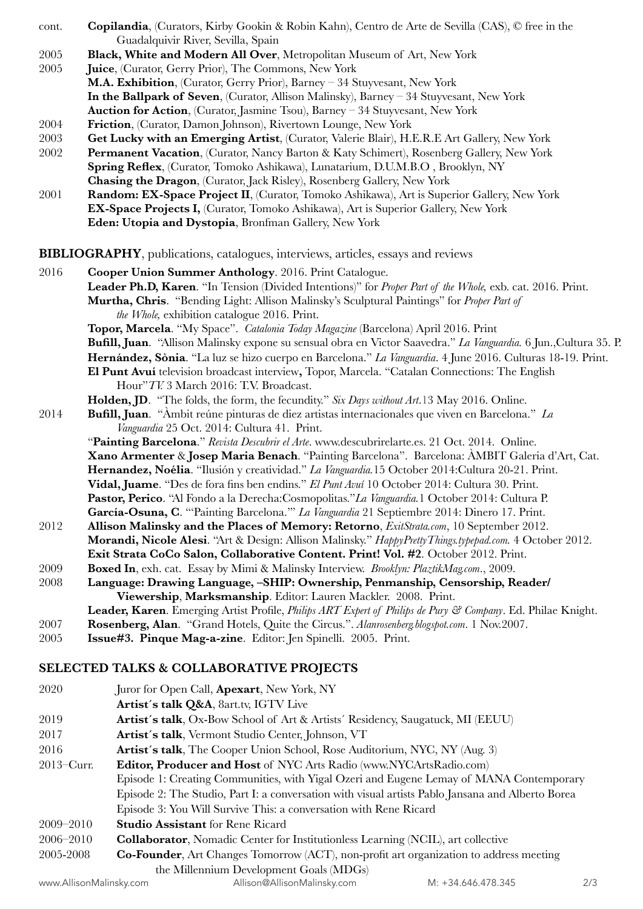- cont. **Copilandia**, (Curators, Kirby Gookin & Robin Kahn), Centro de Arte de Sevilla (CAS), © free in the Guadalquivir River, Sevilla, Spain
- 2005 **Black, White and Modern All Over**, Metropolitan Museum of Art, New York
- 2005 **Juice**, (Curator, Gerry Prior), The Commons, New York

**M.A. Exhibition**, (Curator, Gerry Prior), Barney – 34 Stuyvesant, New York **In the Ballpark of Seven**, (Curator, Allison Malinsky), Barney – 34 Stuyvesant, New York **Auction for Action**, (Curator, Jasmine Tsou), Barney – 34 Stuyvesant, New York

- 2004 **Friction**, (Curator, Damon Johnson), Rivertown Lounge, New York
- 2003 **Get Lucky with an Emerging Artist**, (Curator, Valerie Blair), H.E.R.E Art Gallery, New York
- 2002 **Permanent Vacation**, (Curator, Nancy Barton & Katy Schimert), Rosenberg Gallery, New York **Spring Reflex**, (Curator, Tomoko Ashikawa), Lunatarium, D.U.M.B.O , Brooklyn, NY **Chasing the Dragon**, (Curator, Jack Risley), Rosenberg Gallery, New York
- 2001 **Random: EX-Space Project II**, (Curator, Tomoko Ashikawa), Art is Superior Gallery, New York **EX-Space Projects I,** (Curator, Tomoko Ashikawa), Art is Superior Gallery, New York **Eden: Utopia and Dystopia**, Bronfman Gallery, New York

**BIBLIOGRAPHY**, publications, catalogues, interviews, articles, essays and reviews

2016 **Cooper Union Summer Anthology**. 2016. Print Catalogue. **Leader Ph.D, Karen**. "In Tension (Divided Intentions)" for *Proper Part of the Whole,* exb. cat. 2016. Print. Murtha, Chris. "Bending Light: Allison Malinsky's Sculptural Paintings" for *Proper Part of the Whole, exhibition catalogue 2016. Print.* **Topor, Marcela**. "My Space". *Catalonia Today Magazine* (Barcelona) April 2016. Print **Bufill, Juan**. "Allison Malinsky expone su sensual obra en Victor Saavedra." *La Vanguardia.* 6 Jun.,Cultura 35. P. **Hernández, Sònia**. "La luz se hizo cuerpo en Barcelona." *La Vanguardia*. 4 June 2016. Culturas 18-19. Print. **El Punt Avuí** television broadcast interview**,** Topor, Marcela. "Catalan Connections: The English Hour"*TV.* 3 March 2016: T.V. Broadcast. **Holden, JD**. "The folds, the form, the fecundity." *Six Days without Art*.13 May 2016. Online. 2014 **Bufill, Juan**. "Àmbit reúne pinturas de diez artistas internacionales que viven en Barcelona." *La Vanguardia* 25 Oct. 2014: Cultura 41. Print. "**Painting Barcelona**." *Revista Descubrir el Arte*. [www.descubrirelarte.es.](http://www.descubrirelarte.es) 21 Oct. 2014. Online. **Xano Armenter** & **Josep Maria Benach**. "Painting Barcelona". Barcelona: ÀMBIT Galeria d'Art, Cat. **Hernandez, Noélia**. "Ilusión y creatividad." *La Vanguardia.*15 October 2014:Cultura 20-21. Print. **Vidal, Juame**. "Des de fora fins ben endins." *El Punt Avuí* 10 October 2014: Cultura 30. Print. **Pastor, Perico**. "Al Fondo a la Derecha:Cosmopolitas."*La Vanguardia.*1 October 2014: Cultura P. **García-Osuna, C**. "'Painting Barcelona.'" *La Vanguardia* 21 Septiembre 2014: Dinero 17. Print. 2012 **Allison Malinsky and the Places of Memory: Retorno**, *ExitStrata.com*, 10 September 2012. **Morandi, Nicole Alesi**. "Art & Design: Allison Malinsky." *[HappyPrettyThings.typepad.com](http://HappyPrettyThings.typepad.com).* 4 October 2012. **Exit Strata CoCo Salon, Collaborative Content. Print! Vol. #2**. October 2012. Print. 2009 **Boxed In**, exh. cat. Essay by Mimi & Malinsky Interview. *Brooklyn: [PlaztikMag.com](http://PlaztikMag.com)*., 2009. 2008 **Language: Drawing Language, –SHIP: Ownership, Penmanship, Censorship, Reader/ Viewership**, **Marksmanship**. Editor: Lauren Mackler. 2008. Print. **Leader, Karen**. Emerging Artist Profile, *Philips ART Expert of Philips de Pury & Company*. Ed. Philae Knight. 2007 **Rosenberg, Alan**. "Grand Hotels, Quite the Circus.". *Alan[rosenberg.blogspot.com](http://rosenberg.blogspot.com)*. 1 Nov.2007. 2005 **Issue#3. Pinque Mag-a-zine**. Editor: Jen Spinelli. 2005. Print. **SELECTED TALKS & COLLABORATIVE PROJECTS** 

- 2020 Juror for Open Call, **Apexart**, New York, NY **Artist´s talk Q&A**, [8art.tv,](http://8art.tv) IGTV Live 2019 **Artist's talk**, Ox-Bow School of Art & Artists' Residency, Saugatuck, MI (EEUU) 2017 **Artist´s talk**, Vermont Studio Center, Johnson, VT 2016 **Artist´s talk**, The Cooper Union School, Rose Auditorium, NYC, NY (Aug. 3) 2013–Curr. **Editor, Producer and Host** of NYC Arts Radio [\(www.NYCArtsRadio.com](http://www.NYCArtsRadio.com)) Episode 1: Creating Communities, with Yigal Ozeri and Eugene Lemay of MANA Contemporary Episode 2: The Studio, Part I: a conversation with visual artists Pablo Jansana and Alberto Borea Episode 3: You Will Survive This: a conversation with Rene Ricard 2009–2010 **Studio Assistant** for Rene Ricard 2006–2010 **Collaborator**, Nomadic Center for Institutionless Learning (NCIL), art collective 2005-2008 **Co-Founder**, Art Changes Tomorrow (ACT), non-profit art organization to address meeting
	- the Millennium Development Goals (MDGs)

[www.AllisonMalinsky.com](http://www.AllisonMalinsky.com) [Allison@AllisonMalinsky.com](mailto:Allison@AllisonMalinsky.com) M: +34.646.478.345 2/3